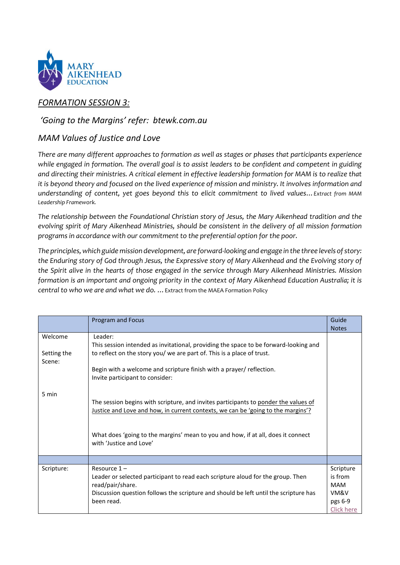

# *FORMATION SESSION 3:*

### *'Going to the Margins' refer: btewk.com.au*

## *MAM Values of Justice and Love*

*There are many different approaches to formation as well as stages or phases that participants experience while engaged in formation. The overall goal is to assist leaders to be confident and competent in guiding and directing their ministries. A critical element in effective leadership formation for MAM is to realize that it is beyond theory and focused on the lived experience of mission and ministry. It involves information and understanding of content, yet goes beyond this to elicit commitment to lived values…Extract from MAM Leadership Framework.* 

*The relationship between the Foundational Christian story of Jesus, the Mary Aikenhead tradition and the evolving spirit of Mary Aikenhead Ministries, should be consistent in the delivery of all mission formation programs in accordance with our commitment to the preferential option for the poor.*

*The principles, which guide mission development, are forward-looking and engage in the three levels of story: the Enduring story of God through Jesus, the Expressive story of Mary Aikenhead and the Evolving story of the Spirit alive in the hearts of those engaged in the service through Mary Aikenhead Ministries. Mission formation is an important and ongoing priority in the context of Mary Aikenhead Education Australia; it is central to who we are and what we do. …*Extract from the MAEA Formation Policy

|                                  | Program and Focus                                                                                                                                                                                                                                                                             | Guide<br><b>Notes</b>                                               |
|----------------------------------|-----------------------------------------------------------------------------------------------------------------------------------------------------------------------------------------------------------------------------------------------------------------------------------------------|---------------------------------------------------------------------|
| Welcome<br>Setting the<br>Scene: | Leader:<br>This session intended as invitational, providing the space to be forward-looking and<br>to reflect on the story you/ we are part of. This is a place of trust.<br>Begin with a welcome and scripture finish with a prayer/ reflection.<br>Invite participant to consider:          |                                                                     |
| 5 min                            | The session begins with scripture, and invites participants to ponder the values of<br><u>Justice and Love and how, in current contexts, we can be 'going to the margins'?</u><br>What does 'going to the margins' mean to you and how, if at all, does it connect<br>with 'Justice and Love' |                                                                     |
|                                  |                                                                                                                                                                                                                                                                                               |                                                                     |
| Scripture:                       | Resource $1 -$<br>Leader or selected participant to read each scripture aloud for the group. Then<br>read/pair/share.<br>Discussion question follows the scripture and should be left until the scripture has<br>been read.                                                                   | Scripture<br>is from<br><b>MAM</b><br>VM&V<br>pgs 6-9<br>Click here |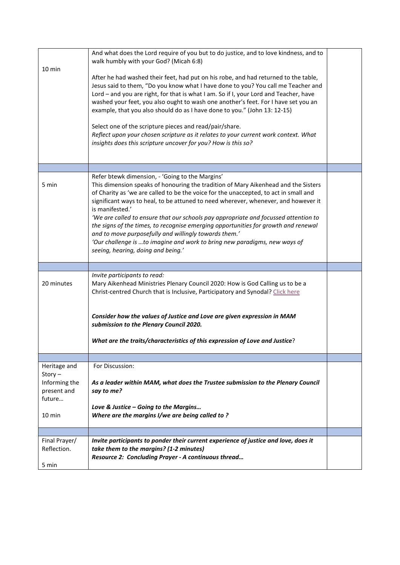| $10 \text{ min}$                                                                        | And what does the Lord require of you but to do justice, and to love kindness, and to<br>walk humbly with your God? (Micah 6:8)<br>After he had washed their feet, had put on his robe, and had returned to the table,<br>Jesus said to them, "Do you know what I have done to you? You call me Teacher and<br>Lord - and you are right, for that is what I am. So if I, your Lord and Teacher, have<br>washed your feet, you also ought to wash one another's feet. For I have set you an<br>example, that you also should do as I have done to you." (John 13: 12-15)<br>Select one of the scripture pieces and read/pair/share.<br>Reflect upon your chosen scripture as it relates to your current work context. What<br>insights does this scripture uncover for you? How is this so? |  |
|-----------------------------------------------------------------------------------------|--------------------------------------------------------------------------------------------------------------------------------------------------------------------------------------------------------------------------------------------------------------------------------------------------------------------------------------------------------------------------------------------------------------------------------------------------------------------------------------------------------------------------------------------------------------------------------------------------------------------------------------------------------------------------------------------------------------------------------------------------------------------------------------------|--|
|                                                                                         |                                                                                                                                                                                                                                                                                                                                                                                                                                                                                                                                                                                                                                                                                                                                                                                            |  |
| 5 min                                                                                   | Refer btewk dimension, - 'Going to the Margins'<br>This dimension speaks of honouring the tradition of Mary Aikenhead and the Sisters<br>of Charity as 'we are called to be the voice for the unaccepted, to act in small and<br>significant ways to heal, to be attuned to need wherever, whenever, and however it<br>is manifested.'<br>'We are called to ensure that our schools pay appropriate and focussed attention to<br>the signs of the times, to recognise emerging opportunities for growth and renewal<br>and to move purposefully and willingly towards them.'<br>'Our challenge is  to imagine and work to bring new paradigms, new ways of<br>seeing, hearing, doing and being.'                                                                                           |  |
|                                                                                         |                                                                                                                                                                                                                                                                                                                                                                                                                                                                                                                                                                                                                                                                                                                                                                                            |  |
| 20 minutes                                                                              | Invite participants to read:<br>Mary Aikenhead Ministries Plenary Council 2020: How is God Calling us to be a<br>Christ-centred Church that is Inclusive, Participatory and Synodal? Click here<br>Consider how the values of Justice and Love are given expression in MAM<br>submission to the Plenary Council 2020.<br>What are the traits/characteristics of this expression of Love and Justice?                                                                                                                                                                                                                                                                                                                                                                                       |  |
|                                                                                         |                                                                                                                                                                                                                                                                                                                                                                                                                                                                                                                                                                                                                                                                                                                                                                                            |  |
| Heritage and<br>$Story -$<br>Informing the<br>present and<br>future<br>$10 \text{ min}$ | For Discussion:<br>As a leader within MAM, what does the Trustee submission to the Plenary Council<br>say to me?<br>Love & Justice – Going to the Margins<br>Where are the margins I/we are being called to?                                                                                                                                                                                                                                                                                                                                                                                                                                                                                                                                                                               |  |
|                                                                                         |                                                                                                                                                                                                                                                                                                                                                                                                                                                                                                                                                                                                                                                                                                                                                                                            |  |
| Final Prayer/<br>Reflection.<br>5 min                                                   | Invite participants to ponder their current experience of justice and love, does it<br>take them to the margins? (1-2 minutes)<br>Resource 2: Concluding Prayer - A continuous thread                                                                                                                                                                                                                                                                                                                                                                                                                                                                                                                                                                                                      |  |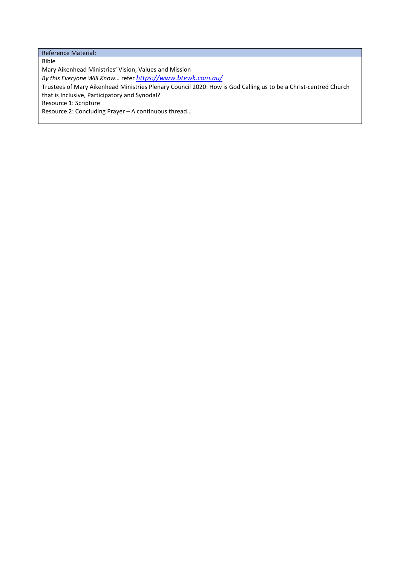Reference Material:

Bible Mary Aikenhead Ministries' Vision, Values and Mission *By this Everyone Will Know…* refer *<https://www.btewk.com.au/>* Trustees of Mary Aikenhead Ministries Plenary Council 2020: How is God Calling us to be a Christ-centred Church that is Inclusive, Participatory and Synodal? Resource 1: Scripture Resource 2: Concluding Prayer – A continuous thread…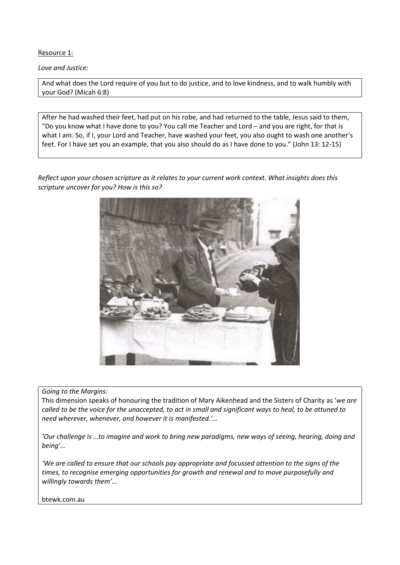Resource 1:

*Love and Justice:* 

And what does the Lord require of you but to do justice, and to love kindness, and to walk humbly with your God? (Micah 6:8)

After he had washed their feet, had put on his robe, and had returned to the table, Jesus said to them, "Do you know what I have done to you? You call me Teacher and Lord – and you are right, for that is what I am. So, if I, your Lord and Teacher, have washed your feet, you also ought to wash one another's feet. For I have set you an example, that you also should do as I have done to you." (John 13: 12-15)

*Reflect upon your chosen scripture as it relates to your current work context. What insights does this scripture uncover for you? How is this so?*



*Going to the Margins:*

This dimension speaks of honouring the tradition of Mary Aikenhead and the Sisters of Charity as '*we are called to be the voice for the unaccepted, to act in small and significant ways to heal, to be attuned to need wherever, whenever, and however it is manifested.'…*

*'Our challenge is …to imagine and work to bring new paradigms, new ways of seeing, hearing, doing and being'…*

*'We are called to ensure that our schools pay appropriate and focussed attention to the signs of the times, to recognise emerging opportunities for growth and renewal and to move purposefully and willingly towards them'…*

btewk.com.au